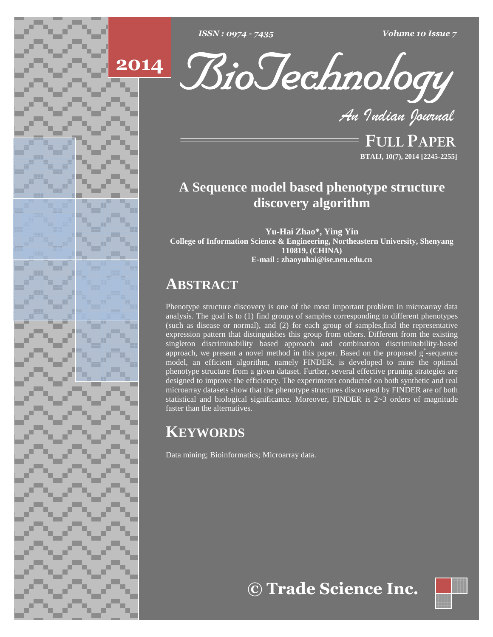

*: <sup>0974</sup> - <sup>7435</sup> Volume <sup>10</sup> Issue <sup>7</sup>*





**FULL PAPER BTAIJ, 10(7), 2014 [2245-2255]**

# **A Sequence model based phenotype structure discovery algorithm**

**Yu-Hai Zhao\*, Ying Yin College of Information Science & Engineering, Northeastern University, Shenyang 110819, (CHINA) E-mail : [zhaoyuhai@ise.neu.edu.cn](mailto:zhaoyuhai@ise.neu.edu.cn)**

# **ABSTRACT**

Phenotype structure discovery is one of the most important problem in microarray data analysis. The goal is to (1) find groups of samples corresponding to different phenotypes (such as disease or normal), and  $(2)$  for each group of samples, find the representative expression pattern that distinguishes this group from others. Different from the existing singleton discriminability based approach and combination discriminability-based approach, we present a novel method in this paper. Based on the proposed g *\**-sequence model, an efficient algorithm, namely FINDER, is developed to mine the optimal phenotype structure from a given dataset. Further, several effective pruning strategies are designed to improve the efficiency. The experiments conducted on both synthetic and real microarray datasets show that the phenotype structures discovered by FINDER are of both statistical and biological significance. Moreover, FINDER is 2~3 orders of magnitude faster than the alternatives.

# **KEYWORDS**

Data mining; Bioinformatics; Microarray data.

**Trade Science Inc.**

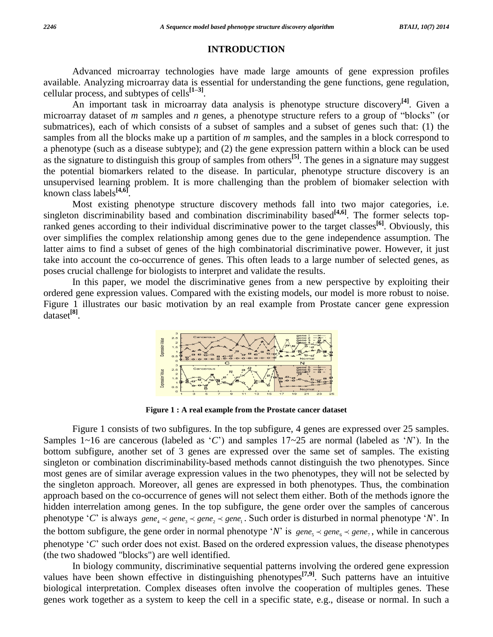### **INTRODUCTION**

Advanced microarray technologies have made large amounts of gene expression profiles available. Analyzing microarray data is essential for understanding the gene functions, gene regulation, cellular process, and subtypes of cells $^{[1-3]}$ .  $\frac{1}{2}$  is essent<br>[1–3].

An important task in microarray data analysis is phenotype structure discovery **[4]**. Given a microarray dataset of *m* samples and *n* genes, a phenotype structure refers to a group of "blocks" (or submatrices), each of which consists of a subset of samples and a subset of genes such that: (1) the samples from all the blocks make up a partition of *m* samples, and the samples in a block correspond to a phenotype (such as a disease subtype); and (2) the gene expression pattern within a block can be used as the signature to distinguish this group of samples from others **[5]**. The genes in a signature may suggest the potential biomarkers related to the disease. In particular, phenotype structure discovery is an unsupervised learning problem. It is more challenging than the problem of biomaker selection with known class labels **[4,6]**.

Most existing phenotype structure discovery methods fall into two major categories, i.e. singleton discriminability based and combination discriminability based **[4,6]**. The former selects topranked genes according to their individual discriminative power to the target classes **[6]**. Obviously, this over simplifies the complex relationship among genes due to the gene independence assumption. The latter aims to find a subset of genes of the high combinatorial discriminative power. However, it just take into account the co-occurrence of genes. This often leads to a large number of selected genes, as poses crucial challenge for biologists to interpret and validate the results.

In this paper, we model the discriminative genes from a new perspective by exploiting their ordered gene expression values. Compared with the existing models, our model is more robust to noise. Figure 1 illustrates our basic motivation by an real example from Prostate cancer gene expression dataset **[8]**.



**Figure 1 : A real example from the Prostate cancer dataset**

Figure 1 consists of two subfigures. In the top subfigure, 4 genes are expressed over 25 samples. Samples 1~16 are cancerous (labeled as  $\langle C' \rangle$  and samples 17~25 are normal (labeled as  $\langle N' \rangle$ ). In the bottom subfigure, another set of 3 genes are expressed over the same set of samples. The existing singleton or combination discriminability-based methods cannot distinguish the two phenotypes. Since most genes are of similar average expression values in the two phenotypes, they will not be selected by the singleton approach. Moreover, all genes are expressed in both phenotypes. Thus, the combination approach based on the co-occurrence of genes will not select them either. Both of the methods ignore the hidden interrelation among genes. In the top subfigure, the gene order over the samples of cancerous approach based on the co-occurrence of genes will not select them either. Both of the methods ignore the hidden interrelation among genes. In the top subfigure, the gene order over the samples of cancerous phenotype 'C' i hidden interrelation among genes. In the top subfigure, the gene order over the samples of cancerous phenotype 'C' is always  $gene_4 \prec gene_3 \prec gene_2 \prec gene_1$ . Such order is disturbed in normal phenotype 'N'. In the bottom subfigure, the bottom subfigure, the gene order in normal phenotype '*N*' is  $gene_s \prec gene_t \prec gene_7$ , while in cancerous phenotype '*C*' such order does not exist. Based on the ordered expression values, the disease phenotypes (the two shadowed "blocks") are well identified.

In biology community, discriminative sequential patterns involving the ordered gene expression values have been shown effective in distinguishing phenotypes **[7,9]**. Such patterns have an intuitive biological interpretation. Complex diseases often involve the cooperation of multiples genes. These genes work together as a system to keep the cell in a specific state, e.g., disease or normal. In such a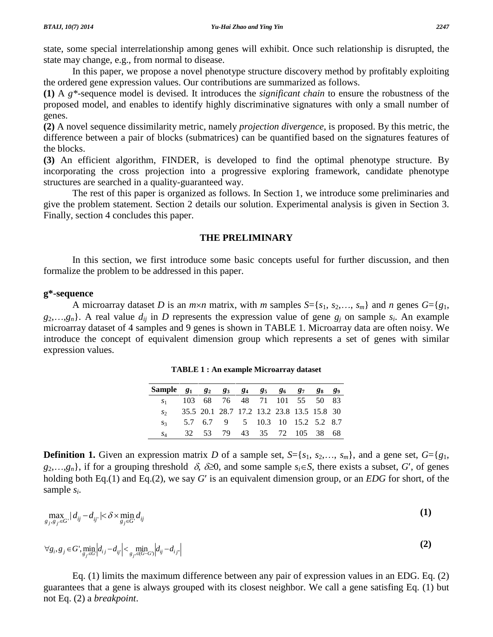state, some special interrelationship among genes will exhibit. Once such relationship is disrupted, the state may change, e.g., from normal to disease.

In this paper, we propose a novel phenotype structure discovery method by profitably exploiting the ordered gene expression values. Our contributions are summarized as follows.

**(1)** A *g\**-sequence model is devised. It introduces the *significant chain* to ensure the robustness of the proposed model, and enables to identify highly discriminative signatures with only a small number of genes.

**(2)** A novel sequence dissimilarity metric, namely *projection divergence*, is proposed. By this metric, the difference between a pair of blocks (submatrices) can be quantified based on the signatures features of the blocks.

**(3)** An efficient algorithm, FINDER, is developed to find the optimal phenotype structure. By incorporating the cross projection into a progressive exploring framework, candidate phenotype structures are searched in a quality-guaranteed way.

The rest of this paper is organized as follows. In Section 1, we introduce some preliminaries and give the problem statement. Section 2 details our solution. Experimental analysis is given in Section 3. Finally, section 4 concludes this paper.

## **THE PRELIMINARY**

In this section, we first introduce some basic concepts useful for further discussion, and then formalize the problem to be addressed in this paper.

## **g\*-sequence**

A microarray dataset *D* is an *m*×*n* matrix, with *m* samples  $S = \{s_1, s_2, \ldots, s_m\}$  and *n* genes  $G = \{g_1, g_2, \ldots, g_m\}$  $g_2, \ldots, g_n$ . A real value  $d_{ij}$  in *D* represents the expression value of gene  $g_j$  on sample  $s_i$ . An example microarray dataset of 4 samples and 9 genes is shown in TABLE 1. Microarray data are often noisy. We introduce the concept of equivalent dimension group which represents a set of genes with similar expression values.

| Sample $g_1$ $g_2$ $g_3$ $g_4$ $g_5$ $g_6$ $g_7$ $g_8$ $g_9$ |  |                                            |  |  |  |
|--------------------------------------------------------------|--|--------------------------------------------|--|--|--|
| $S_1$                                                        |  | 103 68 76 48 71 101 55 50 83               |  |  |  |
| $S_{2}$                                                      |  | 35.5 20.1 28.7 17.2 13.2 23.8 13.5 15.8 30 |  |  |  |
| $S_3$                                                        |  | 5.7 6.7 9 5 10.3 10 15.2 5.2 8.7           |  |  |  |
| $S_A$                                                        |  | 32 53 79 43 35 72 105 38 68                |  |  |  |

**TABLE 1 : An example Microarray dataset**

**Definition 1.** Given an expression matrix *D* of a sample set,  $S = \{s_1, s_2, \ldots, s_m\}$ , and a gene set,  $G = \{g_1, g_2, \ldots, g_m\}$ **Definition 1.** Given an expression matrix *D* of a sample set,  $S = \{s_1, s_2, ..., s_m\}$ , and a gene set,  $G = \{g_1, g_2, ..., g_n\}$ , if for a grouping threshold  $\delta$ ,  $\delta \ge 0$ , and some sample  $s_i \in S$ , there exists a subset, *G'*, o **Definition 1.** Given an expression matrix *D* of a sample set,  $S = \{s_1, s_2,..., s_m\}$ , and a gene set,  $G = \{g_1, g_2,..., g_n\}$ , if for a grouping threshold  $\delta$ ,  $\delta \ge 0$ , and some sample  $s_i \in S$ , there exists a subset,  $G'$ , o sample *si*.

sample 
$$
s_i
$$
.  
\n
$$
\max_{g_j, g_{j'} \in G} |d_{ij} - d_{ij'}| < \delta \times \min_{g_j \in G} d_{ij}
$$
\n(1)

$$
\forall g_i, g_j \in G', \min_{g_j \in G'} |d_{ij} - d_{ij}| < \min_{g_j \in (G-G)} |d_{ij} - d_{ij}|
$$
\n(2)

Eq. (1) limits the maximum difference between any pair of expression values in an EDG. Eq. (2) guarantees that a gene is always grouped with its closest neighbor. We call a gene satisfing Eq. (1) but not Eq. (2) a *breakpoint*.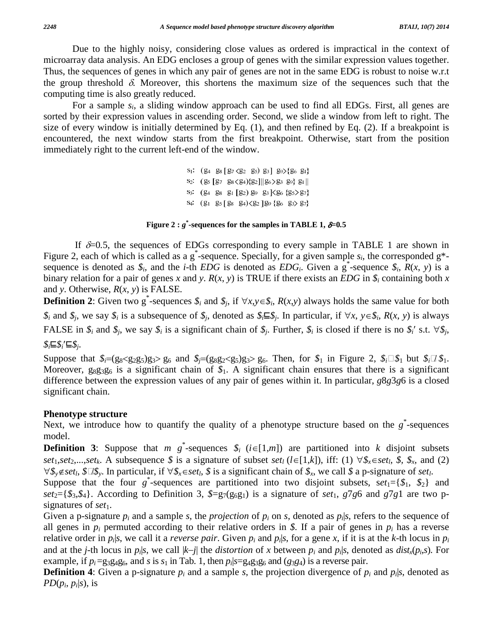Due to the highly noisy, considering close values as ordered is impractical in the context of microarray data analysis. An EDG encloses a group of genes with the similar expression values together. Thus, the sequences of genes in which any pair of genes are not in the same EDG is robust to noise w.r.t the group threshold  $\delta$ . Moreover, this shortens the maximum size of the sequences such that the computing time is also greatly reduced.

For a sample *si*, a sliding window approach can be used to find all EDGs. First, all genes are sorted by their expression values in ascending order. Second, we slide a window from left to right. The size of every window is initially determined by Eq. (1), and then refined by Eq. (2). If a breakpoint is encountered, the next window starts from the first breakpoint. Otherwise, start from the position immediately right to the current left-end of the window.

> $S_1$ :  $(24 \ 28 \ [27 \ \&2 \ 25) \ 23] \ 29 \ \&3 \ \&5 \$ S<sub>2</sub>:  $(g_5 [g_7 g_8\langle g_4\rangle\{g_2\}||g_6\rangle g_3 g_9\} g_1||$ S<sub>3</sub>:  $(24 \ 28 \ 21 \ 22) 29 \ 23 \ \leq 25 \ \leq 27$ S<sub>4</sub>:  $(g_1 \ g_5 [g_8 \ g_4) \langle g_2] g_9 \{g_6 \ g_3 \rangle g_7\}$

### **Figure** 2  $:$   $g^*$ -sequences for the samples in TABLE 1,  $\delta$ =0.5

If  $\delta$ =0.5, the sequences of EDGs corresponding to every sample in TABLE 1 are shown in Figure 2, each of which is called as a g<sup>\*</sup>-sequence. Specially, for a given sample  $s_i$ , the corresponded g\*sequence is denoted as  $\hat{s}_i$ , and the *i*-th *EDG* is denoted as *EDG<sub>i</sub>*. Given a g<sup>\*</sup>-sequence  $\hat{s}_i$ ,  $\hat{R}(x, y)$  is a binary relation for a pair of genes x and y.  $R(x, y)$  is TRUE if there exists an *EDG* in  $\hat{s}_i$  containing both x and *y*. Otherwise, *R*(*x*, *y*) is FALSE. binary relation for a pair of genes *x* and *y*.  $R(x, y)$  is TRUE if there exists an *EDG* in  $\mathcal{S}_i$  containing both *x* and *y*. Otherwise,  $R(x, y)$  is FALSE.<br>**Definition 2**: Given two g<sup>\*</sup>-sequences  $\mathcal{S}_i$  and  $\mathcal{$ 

and y. Otherwise,  $R(x, y)$  is FALSE.<br>**Definition 2**: Given two g<sup>\*</sup>-sequences  $\hat{s}_i$  and  $\hat{s}_j$ , if  $\forall x, y \in \hat{s}_i$ ,  $R(x,y)$  always holds the same value for both  $\hat{s}_i$  and  $\hat{s}_j$ , we say  $\hat{s}_i$  is a subsequence of  $\hat{s$ **Example 1** Example 12. Given two g-sequences  $\delta_i$  and  $\delta_j$ , if  $\forall x, y \in \delta_i$ ,  $K(x, y)$  always notes the same value for both  $\delta_i$  and  $\delta_j$ , we say  $\delta_i$  is a subsequence of  $\delta_j$ , denoted as  $\delta_i \subseteq \delta_j$ . In particular, i **FALSE** in  $\hat{s}_i$  and  $\hat{s}_j$ , we say  $\hat{s}_i$  is a significant chain of  $\hat{s}_j$ . Further,  $\hat{s}_i$  is closed if there is no  $\hat{s}_i$ ' s.t.  $\forall \hat{s}_j$ ,  $\hat{s}_i \sqsubseteq \hat{s}_i' \sqsubseteq \hat{s}_i$ .

Suppose that  $\hat{\mathfrak{g}}_i=(g_8\langle g_2g_5\rangle g_3)g_4g_6$  and  $\hat{\mathfrak{g}}_i=(g_8g_2\langle g_5\rangle g_3)g_6$ . Then, for  $\hat{\mathfrak{g}}_1$  in Figure 2,  $\hat{\mathfrak{g}}_i\Box \hat{\mathfrak{g}}_1$  but  $\hat{\mathfrak{g}}_i\Box \hat{\mathfrak{g}}_1$ . Moreover,  $g_8g_3g_6$  is a significant chain of  $\mathcal{S}_1$ . A significant chain ensures that there is a significant difference between the expression values of any pair of genes within it. In particular, *g*8*g*3*g*6 is a closed significant chain.

### **Phenotype structure**

Next, we introduce how to quantify the quality of a phenotype structure based on the  $g^*$ -sequences model. Next, we introduce how to quantify the quality of a phenotype structure based on the  $g^*$ -sequences model.<br>**Definition 3**: Suppose that *m*  $g^*$ -sequences  $\hat{\mathcal{S}}_i$  (*i*∈[1,*m*]) are partitioned into *k* disjoint sub

*set*<sub>1</sub>,*set*<sub>2</sub>,...,*set*<sub>*k*</sub>. A subsequence  $\oint$  *s* is a signature of subset *set*<sub>*l*</sub> (*l* = [1,*k*]), iff: (1)  $\forall$   $\oint$ <sub>*x*</sub>  $\in$  *setl*,  $\oint$ ,  $\oint$ <sub>*x*</sub>, and (2) *set*<sub>1</sub>, *set*<sub>2</sub>,...,*set*<sub>*k*</sub>. A subsequenc **Definition 3:** Suppose that *m g*<sup>\*</sup>-sequences *\$<sub>i</sub>* (*i*∈[1,*m*]) are partitioned into *k* disjoint subsets *set*<sub>1</sub>, *set*<sub>2</sub>,...,*set<sub>k</sub>*. A subsequence *\$* is a signature of subset *set<sub>1</sub>* (*l*∈[1,*k*]), iff: (1

Suppose that the four  $g^*$ -sequences are partitioned into two disjoint subsets,  $se^{t_1} = \{ \mathcal{S}_1, \mathcal{S}_2 \}$  and *set*<sub>2</sub>={ $\mathcal{S}_3$ , $\mathcal{S}_4$ }. According to Definition 3,  $\mathcal{S}=g_7(g_6g_1)$  is a signature of *set*<sub>1</sub>, *g*7*g*6 and *g*7*g*1 are two p-signatures of *set*<sub>1</sub>.

Given a p-signature  $p_i$  and a sample *s*, the *projection* of  $p_i$  on *s*, denoted as  $p_i$ *s*, refers to the sequence of all genes in  $p_i$  permuted according to their relative orders in  $\hat{x}$ . If a pair of genes in  $p_i$  has a reverse relative order in  $p_i|s$ , we call it a *reverse pair*. Given  $p_i$  and  $p_i|s$ , for a gene x, if it is at the k-th locus in  $p_i$ all genes in  $p_i$  permuted according to their relative orders in \$. If a pair of genes in  $p_i$  has a reverse relative order in  $p_i|s$ , we call it a *reverse pair*. Given  $p_i$  and  $p_i|s$ , for a gene x, if it is at the k-th example, if  $p_i = g_3g_4g_6$ , and *s* is  $s_1$  in Tab. 1, then  $p_i|s = g_4g_3g_6$  and  $(g_3g_4)$  is a reverse pair.

**Definition** 4: Given a p-signature  $p_i$  and a sample *s*, the projection divergence of  $p_i$  and  $p_i|s$ , denoted as *PD*( $p_i$ ,  $p_i$ |*s*), is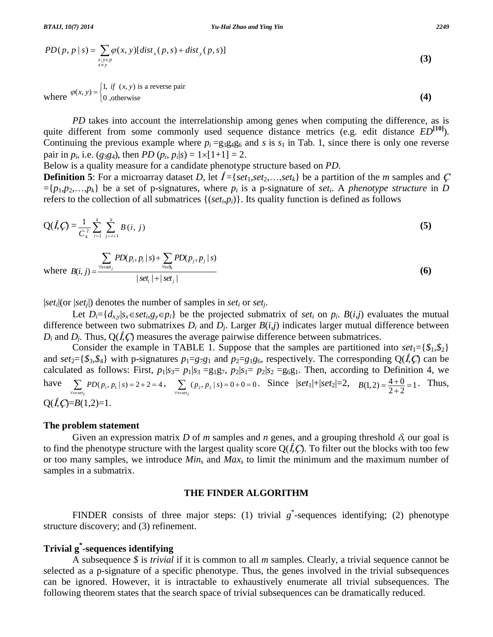BTAIJ, 10(7) 2014  
\n
$$
Yu\text{-Hai Zhao and Ying Yin}
$$
\n
$$
PD(p, p \mid s) = \sum_{\substack{x, y \in p \\ x \neq y}} \varphi(x, y) [dist_x(p, s) + dist_y(p, s)]
$$
\n(3)

where 
$$
\varphi(x, y) = \begin{cases} 1, & \text{if } (x, y) \text{ is a reverse pair} \\ 0, & \text{otherwise} \end{cases}
$$
 (4)

*PD* takes into account the interrelationship among genes when computing the difference, as is quite different from some commonly used sequence distance metrics (e.g. edit distance  $ED^{[10]}$ ).<br>Continuing the previous example where  $p_i = g_3g_4g_6$  and s is  $s_1$  in Tab. 1, since there is only one reverse pair in  $p_i$ , Continuing the previous example where  $p_i = g_3g_4g_6$  and *s* is  $s_1$  in Tab. 1, since there is only one reverse **Definition** 5: For a microarray dataset *D*, let  $\hat{I} = \{set, set\}$ ,  $\{set, set\}$  be a partition of the *m* samples and *C* **Definition** 5: For a microarray dataset *D*, let  $\hat{I} = \{set, set_1, set_2, \ldots, set_k\}$  be a partition of the

Below is a quality measure for a candidate phenotype structure based on *PD*.

 $[p_1, p_2, \ldots, p_k]$  be a set of p-signatures, where  $p_i$  is a p-signature of *set<sub>i</sub>*. A *phenotype structure* in *D* 

refers to the collection of all submatrices {
$$
(set_i,p_i)
$$
}. Its quality function is defined as follows  
\n
$$
Q(\hat{I},\hat{C}) = \frac{1}{C_k^2} \sum_{i=1}^k \sum_{j=i+1}^k B(i, j)
$$
\n
$$
\sum PD(p_i, p_i | s) + \sum PD(p_i, p_i | s)
$$
\n(5)

$$
C_{k}^{\frac{1}{k} \frac{1}{i=1} \frac{1}{j=i+1}}}
$$
\nwhere  $B(i, j) = \frac{\sum_{\forall s \in \text{set}_{j}} PD(p_{i}, p_{i} | s) + \sum_{\forall s \in S_{i}} PD(p_{j}, p_{j} | s)}{|set_{i} + |set_{j}|}$  (6)

 $|set_i|$ (or  $|set_i|$ ) denotes the number of samples in *set<sub>i</sub>* or *set<sub>i</sub>*.

Let  $D_i = \{d_{xx}|s_x \in set_i, g_y \in p_i\}$  be the projected submatrix of set<sub>i</sub> on  $p_i$ .  $B(i,j)$  evaluates the mutual difference between two submatrixes  $D_i$  and  $D_j$ . Larger  $B(i,j)$  indicates larger mutual difference between  $D_i$  and  $D_i$ . Thus,  $Q(\hat{I}, C)$  measures the average pairwise difference between submatrices.

Consider the example in TABLE 1. Suppose that the samples are partitioned into  $set_1 = \{ \mathcal{S}_1, \mathcal{S}_2 \}$ and  $set_2 = \{\$\_3,\$\_4\}$  with p-signatures  $p_1 = g_7g_1$  and  $p_2 = g_1g_6$ , respectively. The corresponding  $Q(\hat{I},\hat{C})$  can be calculated as follows: First,  $p_1|s_3 = p_1|s_3 = g_1g_7$ ,  $p_2|s_1 = p_2|s_2 = g_6g_1$ . Then, according to Definition 4, we and  $set_2 = \{\$\_3,\$\_4\}$  with p-signatures  $p_1 = g_7g_1$  and  $p_2 = g_1g_6$ , respectively. The corresponding  $Q(\hat{I},\hat{C})$  can be calculated as follows: First,  $p_1|s_3 = p_1|s_3 = g_1g_7$ ,  $p_2|s_1 = p_2|s_2 = g_6g_1$ . Then, according  $Q(\hat{I},C)=B(1,2)=1$ .

### **The problem statement**

Given an expression matrix *D* of *m* samples and *n* genes, and a grouping threshold  $\delta$ , our goal is to find the phenotype structure with the largest quality score  $Q(\hat{I},C)$ . To filter out the blocks with too few or too many samples, we introduce *Min<sup>s</sup>* and *Max<sup>s</sup>* to limit the minimum and the maximum number of samples in a submatrix.

### **THE FINDER ALGORITHM**

FINDER consists of three major steps: (1) trivial  $g^*$ -sequences identifying; (2) phenotype structure discovery; and (3) refinement.

# **Trivial g \* -sequences identifying**

A subsequence *\$* is *trivial* if it is common to all *m* samples. Clearly, a trivial sequence cannot be selected as a p-signature of a specific phenotype. Thus, the genes involved in the trivial subsequences can be ignored. However, it is intractable to exhaustively enumerate all trivial subsequences. The following theorem states that the search space of trivial subsequences can be dramatically reduced.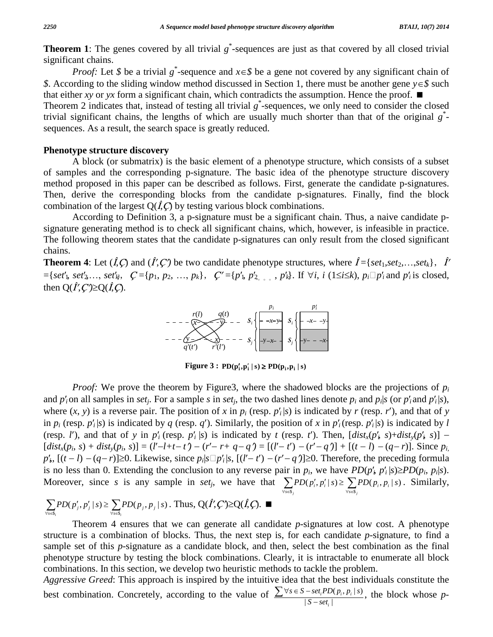**Theorem 1:** The genes covered by all trivial  $g^*$ -sequences are just as that covered by all closed trivial significant chains. **m** 1: The genes covered by all trivial  $g^*$ -sequences are just as that covered by all closed trivial ant chains.<br>*Proof*: Let *\$* be a trivial  $g^*$ -sequence and  $x \in S$  be a gene not covered by any significant chain of

*8*. *Proof:* Let \$ be a trivial  $g^*$ -sequence and  $x \in \mathcal{S}$  be a gene not covered by any significant chain of \$. According to the sliding window method discussed in Section 1, there must be another gene  $y \in \mathcal{S}$  su that either *xy* or *yx* form a significant chain, which contradicts the assumption. Hence the proof.  $\blacksquare$ Theorem 2 indicates that, instead of testing all trivial  $g^*$ -sequences, we only need to consider the closed trivial significant chains, the lengths of which are usually much shorter than that of the original *g* \* sequences. As a result, the search space is greatly reduced.

## **Phenotype structure discovery**

A block (or submatrix) is the basic element of a phenotype structure, which consists of a subset of samples and the corresponding p-signature. The basic idea of the phenotype structure discovery method proposed in this paper can be described as follows. First, generate the candidate p-signatures. Then, derive the corresponding blocks from the candidate p-signatures. Finally, find the block combination of the largest  $Q(\hat{I},\hat{C})$  by testing various block combinations.

According to Definition 3, a p-signature must be a significant chain. Thus, a naive candidate p signature generating method is to check all significant chains, which, however, is infeasible in practice. The following theorem states that the candidate p-signatures can only result from the closed significant chains. The following theorem states that the candidate p-signatures can only result from the closed significant chains.<br> **Theorem 4**: Let  $(\hat{I}, \hat{C})$  and  $(\hat{I}', \hat{C}')$  be two candidate phenotype structures, where  $\hat{I} = \{set_1, set_$ 

chains.<br>**Theorem 4**: Let  $(\hat{I}, \hat{C})$  and  $(\hat{I}', \hat{C}')$  be two candidate phenotype structures, where  $\hat{I} = \{set_1, set_2, ..., set_k\}, \quad \hat{I}' = \{set'_1, set'_2, ..., set'_k\}, \quad \hat{C}' = \{p_1, p_2, ..., p_k\}, \quad \hat{C}' = \{p'_1, p'_2, ..., p'_k\}.$  If  $\forall i, i \ (1 \le i \le k), p_i \square p'_i$  $=\{set_1, set_2', \ldots, set_N', \quad C = \{p_1, p_2, \ldots, p_k\}, \quad C' = \{p'_1, p'_{2, \ldots, p'_k}\}.$  If  $\forall i, i \ (1 \le i \le k), p_i \square p'_i \text{ and } p'_i \text{ is closed,}$ then  $Q(\hat{I}, C') \ge Q(\hat{I}, C).$ 



*Proof:* We prove the theorem by Figure3, where the shadowed blocks are the projections of  $p_i$ and  $p'_i$  on all samples in set<sub>i</sub>. For a sample s in set<sub>i</sub>, the two dashed lines denote  $p_i$  and  $p_i|s$  (or  $p'_i$  and  $p'_i|s$ ), *Proof:* We prove the theorem by Figure3, where the shadowed blocks are the projections of  $p_i$  and  $p'_i$  on all samples in *set<sub>i</sub>*. For a sample *s* in *set<sub>i</sub>*, the two dashed lines denote  $p_i$  and  $p_i|s$  (or  $p'_i$  and and *p*<sup>*i*</sup> (on all samples in *set<sub>j</sub>*. For a sample *s* in *set<sub>j</sub>*, the two dashed lines denote *p*<sup>*i*</sup> and *p*<sub>*i*</sub>|*s* (or *p*<sup>*'*</sup><sub>i</sub>and *p*<sup>*'*</sup><sub>i</sub>|*s*), where  $(x, y)$  is a reverse pair. The position of *x* in *p* where  $(x, y)$  is a reverse pair. The position of x in  $p_i$  (resp.  $p'_i|s$ ) is indicated by r (resp. r'), and that of y<br>in  $p_i$  (resp.  $p'_i|s$ ) is indicated by q (resp. q'). Similarly, the position of x in  $p'_i$  (resp.  $p'_i$ in  $p_i$  (resp.  $p'_i|s$ ) is indicated by q (resp. q'). Similarly, the position of x in  $p'_i$  (resp.  $p'_i|s$ ) is indicated by l (resp. l'), and that of y in  $p'_i$  (resp.  $p'_i|s$ ) is indicated by t (resp. t'). Then,  $[dist_x(p'_i,$ (resp. *l'*), and that of *y* in  $p'_i$  (resp.  $p'_i$  |*s*) is indicated by *t* (resp. *t'*). Then,  $\left[dist_x(p'_i, s) + dist_y(p'_i, s)\right]$  −  $\left[dist_x(p_i, s) + dist_y(p_i, s)\right] = (l' - l + t - t') - (r' - r + q - q') = [(l' - t') - (r' - q')] + [(t - l) - (q - r)]$ . Since  $p_i$ ,  $p'_i$ ,  $\left[($  $dist_x(p_i, s) + dist_y(p_i, s)] = (l' - l + t - t') - (r' - r + q - q') = [(l' - t') - (r' - q')] + [(t - l) - (q - r)]$ . Since  $p_i$ ,  $p'_i$ ,  $[(t - l) - (q - r)] \ge 0$ . Likewise, since  $p_i|s \square p'_i|s$ ,  $[(l' - t') - (r' - q')] \ge 0$ . Therefore, the preceding formula is no less than 0. Extending th [ $dist_x(p_i, s) + dist_y(p_i, s) = (l - l + t - t') - (r - r + q - q') = [(l - t') - (r - q')] + [(t - l) - (q - r)].$  Si $p'_s$ ,  $[(t - l) - (q - r)] \ge 0$ . Likewise, since  $p_i|s \square p'_i|s$ ,  $[(l' - t') - (r' - q')] \ge 0$ . Therefore, the preceding for is no less than 0. Extending the conclusion to an nere:<br>e hav:<br>! | s) >  $\sum_{s \in S_j} \text{PD}(p'_i, p'_i | s) \ge \sum_{\forall s \in S_j} \text{PD}(p_i, p_i | s)$ . Sir is no less than 0. Extending the conclusion to any reverse pair in  $p_i$ , we have  $PD(p'_i, p'_i|s) \ge PD(p_i, p_i|s)$ .<br>Moreover, since s is any sample in set<sub>j</sub>, we have that  $\sum_{\forall s \in S_j} PD(p'_i, p'_i|s) \ge \sum_{\forall s \in S_j} PD(p_i, p_i|s)$ . Similarly, wer, since *s* is any sample in *set<sub>i</sub>*, we have that  $\sum_{\forall s \in S_j} PD(p'_i, p'_i | s) \ge$ <br> $(p'_i, p'_i | s) \ge \sum_{\forall j} PD(p_j, p_j | s)$ . Thus,  $Q(\hat{I}', \hat{C}') \ge Q(\hat{I}, \hat{C})$ .

$$
\sum_{\forall s \in S_i} PD(p'_j, p'_j \mid s) \ge \sum_{\forall s \in S_i} PD(p_j, p_j \mid s) \text{ . Thus, } Q(\hat{I}', \hat{C}') \ge Q(\hat{I}, \hat{C}). \blacksquare
$$

Theorem 4 ensures that we can generate all candidate *p*-signatures at low cost. A phenotype structure is a combination of blocks. Thus, the next step is, for each candidate  $p$ -signature, to find a sample set of this *p*-signature as a candidate block, and then, select the best combination as the final phenotype structure by testing the block combinations. Clearly, it is intractable to enumerate all block combinations. In this section, we develop two heuristic methods to tackle the problem.

*Aggressive Greed*: This approach is inspired by the intuitive idea that the best individuals constitute the best combination. Concretely, according to the value of  $\sum \forall s \in S - set_i PD(p_i, p_i | s)$ , the  $\frac{\int_0^1 E(P_i, P_i | S_i)}{\int S - set_i}$ *i*  $s \in S - set_i PD(p_i, p_i | s)$  the  $S - set<sub>i</sub>$ to tackle the<br>a that the be<br> $\in S - set.PD(p)$ early, it is intractable to enumerate an block<br>hods to tackle the problem.<br>e idea that the best individuals constitute the<br> $\sum \forall s \in S - set_iPD(p_i, p_i|s)$ , the block whose p-<br> $|S - set_i|$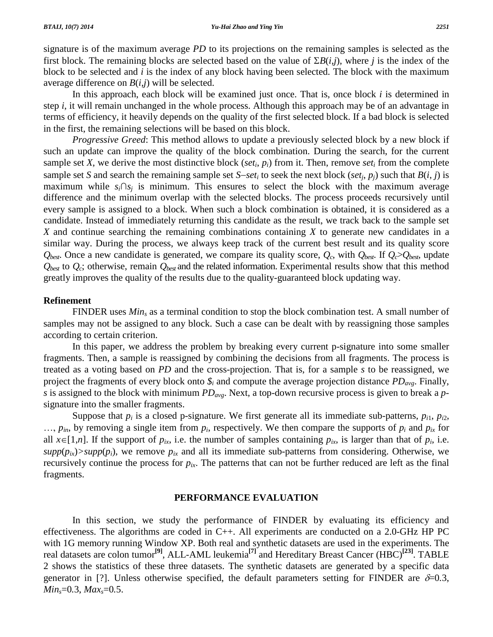signature is of the maximum average *PD* to its projections on the remaining samples is selected as the first block. The remaining blocks are selected based on the value of  $\Sigma B(i,j)$ , where *j* is the index of the block to be selected and *i* is the index of any block having been selected. The block with the maximum average difference on  $B(i,j)$  will be selected.

In this approach, each block will be examined just once. That is, once block *i* is determined in step *i*, itwill remain unchanged in the whole process. Although this approach may be of an advantage in terms of efficiency, it heavily depends on the quality of the first selected block. If a bad block is selected in the first, the remaining selections will be based on this block.

*Progressive Greed*: This method allows to update a previously selected block by a new block if such an update can improve the quality of the block combination. During the search, for the current<br>sample set X, we derive the most distinctive block (*set<sub>i</sub>*,  $p_i$ ) from it. Then, remove *set<sub>i</sub>* from the complete<br>samp sample set *X*, we derive the most distinctive block (*set<sub>i</sub>*, *p<sub>i</sub>*) from it. Then, remove *set<sub>i</sub>* from the complete sample set *S* and search the remaining sample set *S*-*set<sub>i</sub>* to seek the next block (*set<sub>j</sub>*, *p* difference and the minimum overlap with the selected blocks. The process proceeds recursively until every sample is assigned to a block. When such a block combination is obtained, it is considered as a candidate. Instead of immediately returning this candidate as the result, we track back to the sample set *X* and continue searching the remaining combinations containing *X* to generate new candidates in a similar way. During the process, we always keep track of the current best result and its quality score  $Q_{best}$ . Once a new candidate is generated, we compare its quality score,  $Q_c$ , with  $Q_{best}$ . If  $Q_c > Q_{best}$ , update *Qbest* to *Qc*; otherwise, remain *Qbest* and the related information. Experimental results show that this method greatly improves the quality of the results due to the quality-guaranteed block updating way.

### **Refinement**

FINDER uses *Min<sub>s</sub>* as a terminal condition to stop the block combination test. A small number of samples may not be assigned to any block. Such a case can be dealt with by reassigning those samples according to certain criterion.

In this paper, we address the problem by breaking every current p-signature into some smaller fragments. Then, a sample is reassigned by combining the decisions from all fragments. The process is treated as a voting based on *PD* and the cross-projection. That is, for a sample *s* to be reassigned, we project the fragments of every block onto *\$<sup>i</sup>* and compute the average projection distance *PDavg*. Finally, *s* is assigned to the block with minimum *PDavg*. Next, a top-down recursive process is given to break a *p* signature into the smaller fragments.

Suppose that  $p_i$  is a closed p-signature. We first generate all its immediate sub-patterns,  $p_{i1}$ ,  $p_{i2}$ ,  $p_{in}$ , by removing a single item from  $p_i$ , respectively. We then compare the supports of  $p_i$  and  $p_{ix}$  for Suppose that  $p_i$  is a closed p-signature. We first generate all its immediate sub-patterns,  $p_{i1}$ ,  $p_{i2}$ , ...,  $p_{in}$ , by removing a single item from  $p_i$ , respectively. We then compare the supports of  $p_i$  and  $p_{ix}$  $supp(p_{ix})$ >supp $(p_i)$ , we remove  $p_{ix}$  and all its immediate sub-patterns from considering. Otherwise, we recursively continue the process for  $p_{ix}$ . The patterns that can not be further reduced are left as the final fragments.

### **PERFORMANCE EVALUATION**

In this section, we study the performance of FINDER by evaluating its efficiency and effectiveness. The algorithms are coded in C++. All experiments are conducted on a 2.0-GHz HP PC with 1G memory running Window XP. Both real and synthetic datasets are used in the experiments. The real datasets are colon tumor **[9]**, ALL-AML leukemia **[7]** and Hereditary Breast Cancer (HBC) **[23]**. TABLE 2 shows the statistics of these three datasets. The synthetic datasets are generated by a specific data generator in [?]. Unless otherwise specified, the default parameters setting for FINDER are  $\delta=0.3$ , *Mins*=0*.*3, *Maxs*=0*.*5.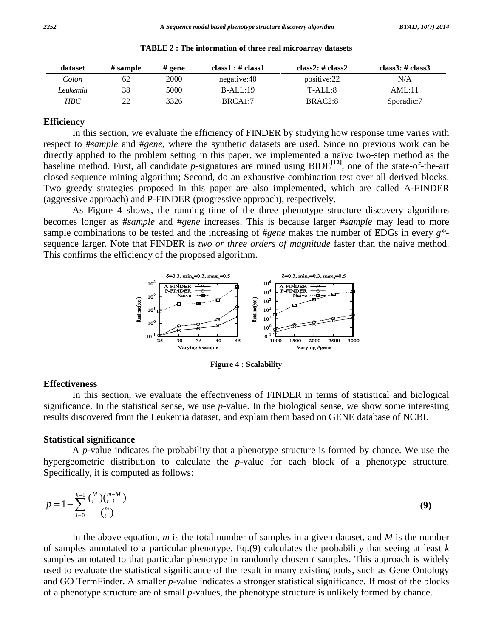| dataset    | # sample | $#$ gene    | class1 : $\#$ class1 | class2: $\#$ class2 | class $3:$ # class $3$ |
|------------|----------|-------------|----------------------|---------------------|------------------------|
| Colon      | 62       | <b>2000</b> | negative:40          | positive:22         | N/A                    |
| Leukemia   | 38       | 5000        | $B-ALL:19$           | $T-ALL:8$           | AML:11                 |
| <b>HBC</b> | つつ       | 3326        | BRCA1:7              | BRAC <sub>2:8</sub> | Sporadic:7             |

**TABLE 2 : The information of three real microarray datasets**

### **Efficiency**

In this section, we evaluate the efficiency of FINDER by studying how response time varies with respect to #*sample* and #*gene*, where the synthetic datasets are used. Since no previous work can be directly applied to the problem setting in this paper, we implemented a naïve two-step method as the baseline method. First, all candidate *p*-signatures are mined using BIDE **[12]**, one of the state-of-the-art closed sequence mining algorithm; Second, do an exhaustive combination test over all derived blocks. Two greedy strategies proposed in this paper are also implemented, which are called A-FINDER (aggressive approach) and P-FINDER (progressive approach), respectively.

As Figure 4 shows, the running time of the three phenotype structure discovery algorithms becomes longer as #*sample* and #*gene* increases. This is because larger #*sample* may lead to more sample combinations to be tested and the increasing of #*gene* makes the number of EDGs in every *g\** sequence larger. Note that FINDER is *two or three orders of magnitude* faster than the naive method. This confirms the efficiency of the proposed algorithm.



**Figure 4 : Scalability**

### **Effectiveness**

In this section, we evaluate the effectiveness of FINDER in terms of statistical and biological significance. In the statistical sense, we use *p*-value. In the biological sense, we show some interesting results discovered from the Leukemia dataset, and explain them based on GENE database of NCBI.

### **Statistical significance**

A *p*-value indicates the probability that a phenotype structure is formed by chance. We use the hypergeometric distribution to calculate the *p*-value for each block of a phenotype structure.<br>Specifically it is computed as follows:

Specifically, it is computed as follows:  
\n
$$
p = 1 - \sum_{i=0}^{k-1} \frac{\binom{M}{i} \binom{m-M}{t-i}}{\binom{m}{t}}
$$
\n(9)

In the above equation, *m* is the total number of samples in a given dataset, and *M* is the number of samples annotated to a particular phenotype. Eq.(9) calculates the probability that seeing at least *k* samples annotated to that particular phenotype in randomly chosen *t* samples. This approach is widely used to evaluate the statistical significance of the result in many existing tools, such as Gene Ontology and GO TermFinder. A smaller *p*-value indicates a stronger statistical significance. If most of the blocks of a phenotype structure are of small *p*-values, the phenotype structure is unlikely formed by chance.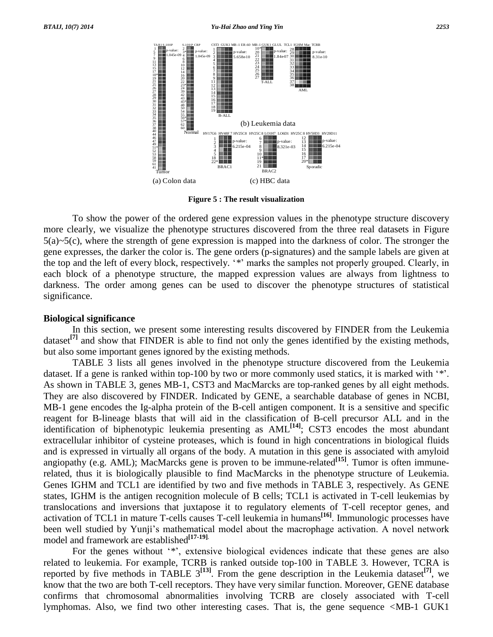

**Figure 5 : The result visualization**

To show the power of the ordered gene expression values in the phenotype structure discovery more clearly, we visualize the phenotype structures discovered from the three real datasets in Figure 5(a)*~*5(c), where the strength of gene expression is mapped into the darkness of color. The stronger the gene expresses, the darker the color is. The gene orders (p-signatures) and the sample labels are given at the top and the left of every block, respectively. "\*" marks the samples not properly grouped. Clearly, in each block of a phenotype structure, the mapped expression values are always from lightness to darkness. The order among genes can be used to discover the phenotype structures of statistical significance.

### **Biological significance**

In this section, we present some interesting results discovered by FINDER from the Leukemia dataset<sup>[7]</sup> and show that FINDER is able to find not only the genes identified by the existing methods, but also some important genes ignored by the existing methods.

TABLE 3 lists all genes involved in the phenotype structure discovered from the Leukemia dataset. If a gene is ranked within top-100 by two or more commonly used statics, it is marked with '\*'. As shown in TABLE 3, genes MB-1, CST3 and MacMarcks are top-ranked genes by all eight methods. They are also discovered by FINDER. Indicated by GENE, a searchable database of genes in NCBI, MB-1 gene encodes the Ig-alpha protein of the B-cell antigen component. It is a sensitive and specific reagent for B-lineage blasts that will aid in the classification of B-cell precursor ALL and in the identification of biphenotypic leukemia presenting as AML **[14]**; CST3 encodes the most abundant extracellular inhibitor of cysteine proteases, which is found in high concentrations in biological fluids and is expressed in virtually all organs of the body. A mutation in this gene is associated with amyloid angiopathy (e.g. AML); MacMarcks gene is proven to be immune-related **[15]**. Tumor is often immunerelated, thus it is biologically plausible to find MacMarcks in the phenotype structure of Leukemia. Genes IGHM and TCL1 are identified by two and five methods in TABLE 3, respectively. As GENE states, IGHM is the antigen recognition molecule of B cells; TCL1 is activated in T-cell leukemias by translocations and inversions that juxtapose it to regulatory elements of T-cell receptor genes, and activation of TCL1 in mature T-cells causes T-cell leukemia in humans **[16]**. Immunologic processes have translocations and inversions that juxtapose it to regulatory elements of T-cell receptor genes, and<br>activation of TCL1 in mature T-cells causes T-cell leukemia in humans<sup>[16]</sup>. Immunologic processes have<br>been well studied model and framework are established **[17-19]**. been well studied by Yunji's mathematical model about the macrophage activation. A novel network model and framework are established<sup>[17-19]</sup>.<br>For the genes without '\*', extensive biological evidences indicate that these g

related to leukemia. For example, TCRB is ranked outside top-100 in TABLE 3. However, TCRA is reported by five methods in TABLE 3 **[13]**. From the gene description in the Leukemia dataset **[7]**, we know that the two are both T-cell receptors. They have very similar function. Moreover, GENE database confirms that chromosomal abnormalities involving TCRB are closely associated with T-cell lymphomas. Also, we find two other interesting cases. That is, the gene sequence *<*MB-1 GUK1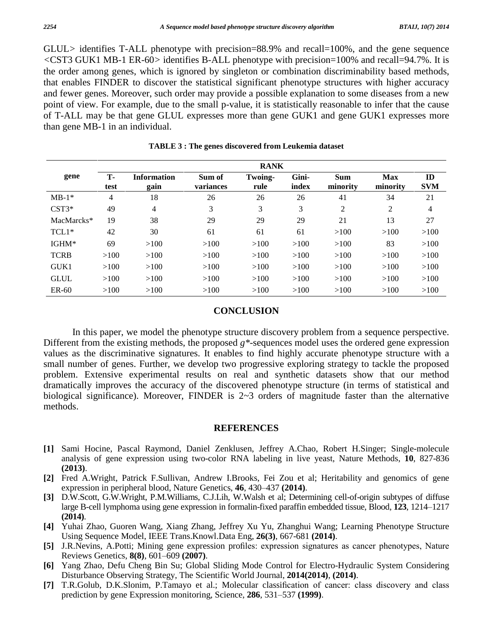GLUL*>* identifies T-ALL phenotype with precision=88*.*9% and recall=100%, and the gene sequence *<*CST3 GUK1 MB-1 ER-60*>* identifies B-ALL phenotype with precision=100% and recall=94*.*7%. It is the order among genes, which is ignored by singleton or combination discriminability based methods, that enables FINDER to discover the statistical significant phenotype structures with higher accuracy and fewer genes. Moreover, such order may provide a possible explanation to some diseases from a new point of view. For example, due to the small p-value, it is statistically reasonable to infer that the cause of T-ALL may be that gene GLUL expresses more than gene GUK1 and gene GUK1 expresses more than gene MB-1 in an individual.

|             | <b>RANK</b>       |                            |                     |                 |                |                        |                        |                  |  |  |
|-------------|-------------------|----------------------------|---------------------|-----------------|----------------|------------------------|------------------------|------------------|--|--|
| gene        | <b>T-</b><br>test | <b>Information</b><br>gain | Sum of<br>variances | Twoing-<br>rule | Gini-<br>index | <b>Sum</b><br>minority | <b>Max</b><br>minority | ID<br><b>SVM</b> |  |  |
| $MB-1*$     | 4                 | 18                         | 26                  | 26              | 26             | 41                     | 34                     | 21               |  |  |
| $CST3*$     | 49                | $\overline{4}$             | 3                   | 3               | 3              | $\overline{2}$         | 2                      | 4                |  |  |
| MacMarcks*  | 19                | 38                         | 29                  | 29              | 29             | 21                     | 13                     | 27               |  |  |
| $TCL1*$     | 42                | 30                         | 61                  | 61              | 61             | >100                   | >100                   | >100             |  |  |
| IGHM*       | 69                | >100                       | >100                | >100            | >100           | >100                   | 83                     | >100             |  |  |
| <b>TCRB</b> | >100              | >100                       | >100                | >100            | >100           | >100                   | >100                   | >100             |  |  |
| GUK1        | >100              | >100                       | >100                | >100            | >100           | >100                   | >100                   | >100             |  |  |
| <b>GLUL</b> | >100              | >100                       | >100                | >100            | >100           | >100                   | >100                   | >100             |  |  |
| $ER-60$     | >100              | >100                       | >100                | >100            | >100           | >100                   | >100                   | >100             |  |  |

**TABLE 3 : The genes discovered from Leukemia dataset**

### **CONCLUSION**

In this paper, we model the phenotype structure discovery problem from a sequence perspective. Different from the existing methods, the proposed *g\**-sequences model uses the ordered gene expression values as the discriminative signatures. It enables to find highly accurate phenotype structure with a small number of genes. Further, we develop two progressive exploring strategy to tackle the proposed problem. Extensive experimental results on real and synthetic datasets show that our method dramatically improves the accuracy of the discovered phenotype structure (in terms of statistical and biological significance). Moreover, FINDER is 2*~*3 orders of magnitude faster than the alternative methods.

#### **REFERENCES**

- **[1]** Sami Hocine, Pascal Raymond, Daniel Zenklusen, Jeffrey A.Chao, Robert H.Singer; Single-molecule analysis of gene expression using two-color RNA labeling in live yeast, Nature Methods, **10**, 827-836 **(2013)**.
- **[2]** Fred A.Wright, Patrick F.Sullivan, Andrew I.Brooks, Fei Zou et al; Heritability and genomics of gene (2013).<br>Fred A.Wright, Patrick F.Sullivan, Andrew I.Brooks, Fei Zou et al; I<br>expression in peripheral blood, Nature Genetics, 46, 430–437 (2014).
- **[3]** D.W.Scott, G.W.Wright, P.M.Williams, C.J.Lih, W.Walsh et al; Determining cell-of-origin subtypes of diffuse expression in peripheral blood, Nature Genetics, 46, 430–437 (2014).<br>D.W.Scott, G.W.Wright, P.M.Williams, C.J.Lih, W.Walsh et al; Determining cell-of-origin subtypes of diffuse<br>large B-cell lymphoma using gene expression i **(2014)**.
- **[4]** Yuhai Zhao, Guoren Wang, Xiang Zhang, Jeffrey Xu Yu, Zhanghui Wang; Learning Phenotype Structure<br>Using Sequence Model, IEEE Trans. Knowl. Data Eng, 26(3), 667-681 (2014).<br>**[5]** J.R.Nevins, A.Potti; Mining gene expres Using Sequence Model, IEEE Trans.Knowl.Data Eng, **26(3)**, 667-681 **(2014)**.
- I.S. Nevins, A.Potti; Mining gene expression profiles: expression signatures as cancer phenotypes, Nature Reviews Genetics,  $8(8)$ , 601–609 (2007).
- 16 Yang Zhao, Defu Cheng Bin Su; Global Sliding Mode Control for Electro-Hydraulic System Considering<br>Disturbance Observing Strategy, The Scientific World Journal, 2014(2014).<br>
17 T.R.Golub, D.K.Slonim, P.Tamayo et al.; Mo
- Disturbance Observing Strategy, The Scientific World Journal, 2014(2014), (2014). T.R.Golub, D.K.Slonim, P.Tamayo et al.; Molecular classification of cancer: class prediction by gene Expression monitoring, Science, 286, 53